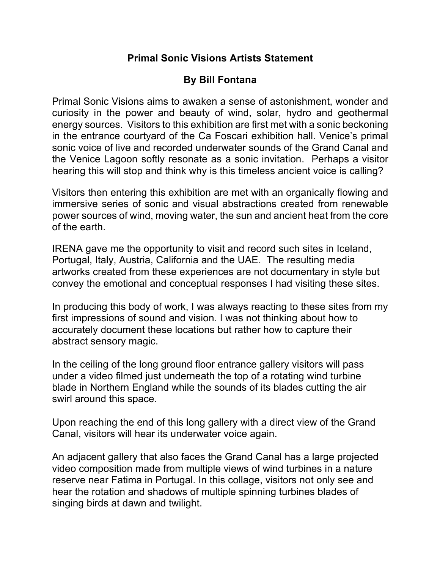## **Primal Sonic Visions Artists Statement**

## **By Bill Fontana**

Primal Sonic Visions aims to awaken a sense of astonishment, wonder and curiosity in the power and beauty of wind, solar, hydro and geothermal energy sources. Visitors to this exhibition are first met with a sonic beckoning in the entrance courtyard of the Ca Foscari exhibition hall. Venice's primal sonic voice of live and recorded underwater sounds of the Grand Canal and the Venice Lagoon softly resonate as a sonic invitation. Perhaps a visitor hearing this will stop and think why is this timeless ancient voice is calling?

Visitors then entering this exhibition are met with an organically flowing and immersive series of sonic and visual abstractions created from renewable power sources of wind, moving water, the sun and ancient heat from the core of the earth.

IRENA gave me the opportunity to visit and record such sites in Iceland, Portugal, Italy, Austria, California and the UAE. The resulting media artworks created from these experiences are not documentary in style but convey the emotional and conceptual responses I had visiting these sites.

In producing this body of work, I was always reacting to these sites from my first impressions of sound and vision. I was not thinking about how to accurately document these locations but rather how to capture their abstract sensory magic.

In the ceiling of the long ground floor entrance gallery visitors will pass under a video filmed just underneath the top of a rotating wind turbine blade in Northern England while the sounds of its blades cutting the air swirl around this space.

Upon reaching the end of this long gallery with a direct view of the Grand Canal, visitors will hear its underwater voice again.

An adjacent gallery that also faces the Grand Canal has a large projected video composition made from multiple views of wind turbines in a nature reserve near Fatima in Portugal. In this collage, visitors not only see and hear the rotation and shadows of multiple spinning turbines blades of singing birds at dawn and twilight.